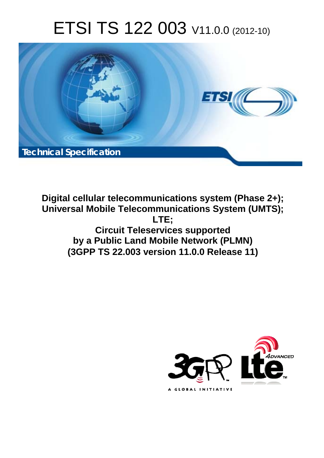# ETSI TS 122 003 V11.0.0 (2012-10)



**Digital cellular telecommunications system (Phase 2+); Universal Mobile Telecommunications System (UMTS); LTE; Circuit Teleservices supported by a Public Land Mobile Network (PLMN) (3GPP TS 22.003 version 11.0.0 Release 11)** 

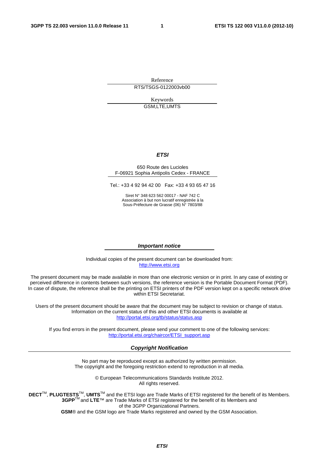Reference RTS/TSGS-0122003vb00

> Keywords GSM,LTE,UMTS

### *ETSI*

### 650 Route des Lucioles F-06921 Sophia Antipolis Cedex - FRANCE

Tel.: +33 4 92 94 42 00 Fax: +33 4 93 65 47 16

Siret N° 348 623 562 00017 - NAF 742 C Association à but non lucratif enregistrée à la Sous-Préfecture de Grasse (06) N° 7803/88

### *Important notice*

Individual copies of the present document can be downloaded from: [http://www.etsi.org](http://www.etsi.org/)

The present document may be made available in more than one electronic version or in print. In any case of existing or perceived difference in contents between such versions, the reference version is the Portable Document Format (PDF). In case of dispute, the reference shall be the printing on ETSI printers of the PDF version kept on a specific network drive within ETSI Secretariat.

Users of the present document should be aware that the document may be subject to revision or change of status. Information on the current status of this and other ETSI documents is available at <http://portal.etsi.org/tb/status/status.asp>

If you find errors in the present document, please send your comment to one of the following services: [http://portal.etsi.org/chaircor/ETSI\\_support.asp](http://portal.etsi.org/chaircor/ETSI_support.asp)

### *Copyright Notification*

No part may be reproduced except as authorized by written permission. The copyright and the foregoing restriction extend to reproduction in all media.

> © European Telecommunications Standards Institute 2012. All rights reserved.

**DECT**TM, **PLUGTESTS**TM, **UMTS**TM and the ETSI logo are Trade Marks of ETSI registered for the benefit of its Members. **3GPP**TM and **LTE**™ are Trade Marks of ETSI registered for the benefit of its Members and of the 3GPP Organizational Partners.

**GSM**® and the GSM logo are Trade Marks registered and owned by the GSM Association.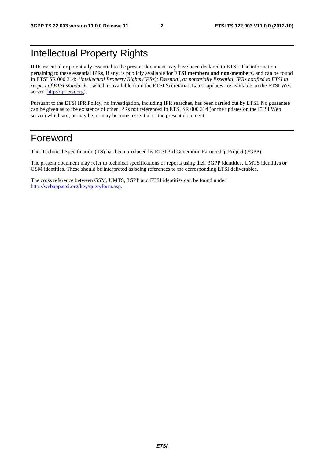## Intellectual Property Rights

IPRs essential or potentially essential to the present document may have been declared to ETSI. The information pertaining to these essential IPRs, if any, is publicly available for **ETSI members and non-members**, and can be found in ETSI SR 000 314: *"Intellectual Property Rights (IPRs); Essential, or potentially Essential, IPRs notified to ETSI in respect of ETSI standards"*, which is available from the ETSI Secretariat. Latest updates are available on the ETSI Web server [\(http://ipr.etsi.org](http://webapp.etsi.org/IPR/home.asp)).

Pursuant to the ETSI IPR Policy, no investigation, including IPR searches, has been carried out by ETSI. No guarantee can be given as to the existence of other IPRs not referenced in ETSI SR 000 314 (or the updates on the ETSI Web server) which are, or may be, or may become, essential to the present document.

### Foreword

This Technical Specification (TS) has been produced by ETSI 3rd Generation Partnership Project (3GPP).

The present document may refer to technical specifications or reports using their 3GPP identities, UMTS identities or GSM identities. These should be interpreted as being references to the corresponding ETSI deliverables.

The cross reference between GSM, UMTS, 3GPP and ETSI identities can be found under [http://webapp.etsi.org/key/queryform.asp.](http://webapp.etsi.org/key/queryform.asp)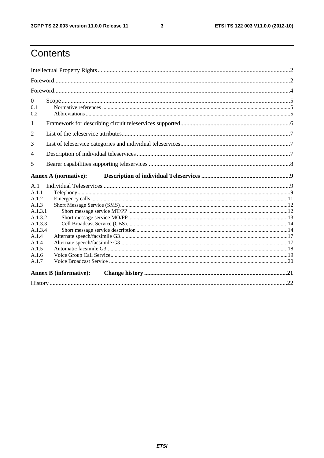$\mathbf{3}$ 

## Contents

| $\overline{0}$<br>0.1<br>0.2 |                               |  |
|------------------------------|-------------------------------|--|
| $\mathbf{1}$                 |                               |  |
| 2                            |                               |  |
| 3                            |                               |  |
| 4                            |                               |  |
| 5                            |                               |  |
|                              | <b>Annex A (normative):</b>   |  |
|                              |                               |  |
| A.1                          |                               |  |
| A.1.1                        |                               |  |
| A.1.2                        |                               |  |
| A.1.3                        |                               |  |
| A.1.3.1                      |                               |  |
| A.1.3.2                      |                               |  |
| A.1.3.3                      |                               |  |
| A.1.3.4                      |                               |  |
| A.1.4                        |                               |  |
| A.1.4                        |                               |  |
| A.1.5                        |                               |  |
| A.1.6<br>A.1.7               |                               |  |
|                              | <b>Annex B</b> (informative): |  |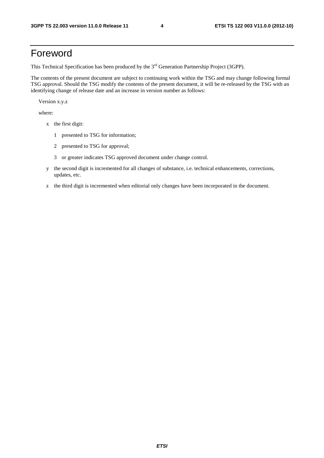## Foreword

This Technical Specification has been produced by the 3<sup>rd</sup> Generation Partnership Project (3GPP).

The contents of the present document are subject to continuing work within the TSG and may change following formal TSG approval. Should the TSG modify the contents of the present document, it will be re-released by the TSG with an identifying change of release date and an increase in version number as follows:

Version x.y.z

where:

- x the first digit:
	- 1 presented to TSG for information;
	- 2 presented to TSG for approval;
	- 3 or greater indicates TSG approved document under change control.
- y the second digit is incremented for all changes of substance, i.e. technical enhancements, corrections, updates, etc.
- z the third digit is incremented when editorial only changes have been incorporated in the document.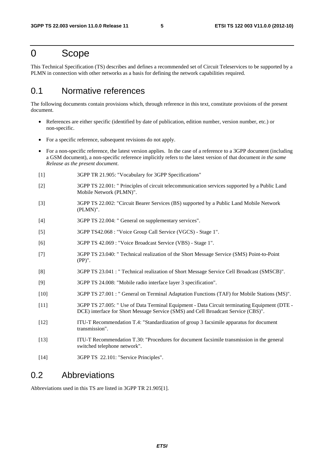### 0 Scope

This Technical Specification (TS) describes and defines a recommended set of Circuit Teleservices to be supported by a PLMN in connection with other networks as a basis for defining the network capabilities required.

### 0.1 Normative references

The following documents contain provisions which, through reference in this text, constitute provisions of the present document.

- References are either specific (identified by date of publication, edition number, version number, etc.) or non-specific.
- For a specific reference, subsequent revisions do not apply.
- For a non-specific reference, the latest version applies. In the case of a reference to a 3GPP document (including a GSM document), a non-specific reference implicitly refers to the latest version of that document *in the same Release as the present document*.
- [1] 3GPP TR 21.905: "Vocabulary for 3GPP Specifications"
- [2] 3GPP TS 22.001: " Principles of circuit telecommunication services supported by a Public Land Mobile Network (PLMN)".
- [3] 3GPP TS 22.002: "Circuit Bearer Services (BS) supported by a Public Land Mobile Network (PLMN)".
- [4] 3GPP TS 22.004: " General on supplementary services".
- [5] 3GPP TS42.068 : "Voice Group Call Service (VGCS) Stage 1".
- [6] 3GPP TS 42.069 : "Voice Broadcast Service (VBS) Stage 1".
- [7] 3GPP TS 23.040: " Technical realization of the Short Message Service (SMS) Point-to-Point (PP)".
- [8] 3GPP TS 23.041 : " Technical realization of Short Message Service Cell Broadcast (SMSCB)".
- [9] 3GPP TS 24.008: "Mobile radio interface layer 3 specification".
- [10] 3GPP TS 27.001 : " General on Terminal Adaptation Functions (TAF) for Mobile Stations (MS)".
- [11] 3GPP TS 27.005: " Use of Data Terminal Equipment Data Circuit terminating Equipment (DTE DCE) interface for Short Message Service (SMS) and Cell Broadcast Service (CBS)".
- [12] ITU-T Recommendation T.4: "Standardization of group 3 facsimile apparatus for document transmission".
- [13] ITU-T Recommendation T.30: "Procedures for document facsimile transmission in the general switched telephone network".
- [14] 3GPP TS 22.101: "Service Principles".

### 0.2 Abbreviations

Abbreviations used in this TS are listed in 3GPP TR 21.905[1].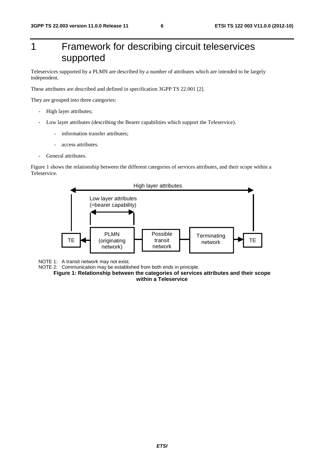## 1 Framework for describing circuit teleservices supported

Teleservices supported by a PLMN are described by a number of attributes which are intended to be largely independent.

These attributes are described and defined in specification 3GPP TS 22.001 [2].

They are grouped into three categories:

- High layer attributes;
- Low layer attributes (describing the Bearer capabilities which support the Teleservice).
	- information transfer attributes;
	- access attributes.
- General attributes.

Figure 1 shows the relationship between the different categories of services attributes, and their scope within a Teleservice.



NOTE 1: A transit network may not exist.

NOTE 2: Communication may be established from both ends in principle.

**Figure 1: Relationship between the categories of services attributes and their scope within a Teleservice**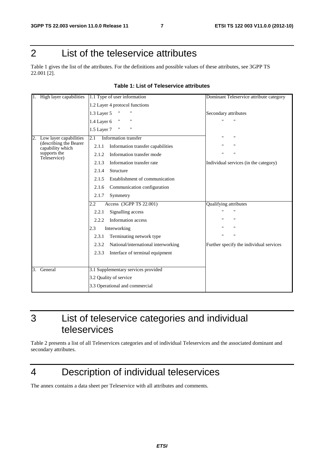## 2 List of the teleservice attributes

Table 1 gives the list of the attributes. For the definitions and possible values of these attributes, see 3GPP TS 22.001 [2].

| High layer capabilities                    | 1.1 Type of user information                      | Dominant Teleservice attribute category |
|--------------------------------------------|---------------------------------------------------|-----------------------------------------|
|                                            | 1.2 Layer 4 protocol functions                    |                                         |
|                                            | 1.3 Layer 5<br>"                                  | Secondary attributes                    |
|                                            | $\mathbf{H}$<br>$\mathbf{H}$<br>1.4 Layer 6       | $\mathbf{u}$                            |
|                                            | $\pmb{\mathsf{H}}$<br>1.5 Layer 7<br>$\mathbf{H}$ |                                         |
| 2.<br>Low layer capabilities               | 2.1<br>Information transfer                       | $^{\prime}$<br>Ħ                        |
| (describing the Bearer<br>capability which | 2.1.1<br>Information transfer capabilities        | Ħ                                       |
| supports the<br>Teleservice)               | Information transfer mode<br>2.1.2                | $\mathbf{H}$<br>$^{\prime}$             |
|                                            | Information transfer rate<br>2.1.3                | Individual services (in the category)   |
|                                            | 2.1.4<br>Structure                                |                                         |
|                                            | Establishment of communication<br>2.1.5           |                                         |
|                                            | Communication configuration<br>2.1.6              |                                         |
|                                            | 2.1.7<br>Symmetry                                 |                                         |
|                                            | Access (3GPP TS 22.001)<br>$\overline{2.2}$       | <b>Qualifying attributes</b>            |
|                                            | Signalling access<br>2.2.1                        |                                         |
|                                            | Information access<br>2.2.2                       | $\blacksquare$                          |
|                                            | Interworking<br>2.3                               | $\mathbf{H}$<br>$^{\prime\prime}$       |
|                                            | Terminating network type<br>2.3.1                 | $^{\prime}$<br>$\mathbf{H}$             |
|                                            | National/international interworking<br>2.3.2      | Further specify the individual services |
|                                            | 2.3.3<br>Interface of terminal equipment          |                                         |
|                                            |                                                   |                                         |
| General<br>3.                              | 3.1 Supplementary services provided               |                                         |
|                                            | 3.2 Quality of service                            |                                         |
|                                            | 3.3 Operational and commercial                    |                                         |

### **Table 1: List of Teleservice attributes**

3 List of teleservice categories and individual teleservices

Table 2 presents a list of all Teleservices categories and of individual Teleservices and the associated dominant and secondary attributes.

## 4 Description of individual teleservices

The annex contains a data sheet per Teleservice with all attributes and comments.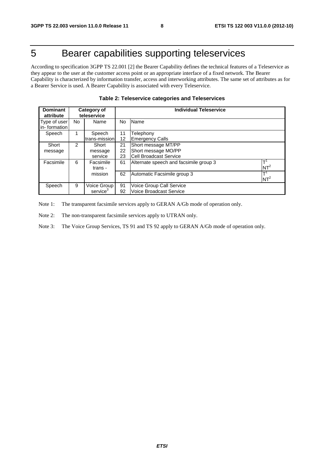## 5 Bearer capabilities supporting teleservices

According to specification 3GPP TS 22.001 [2] the Bearer Capability defines the technical features of a Teleservice as they appear to the user at the customer access point or an appropriate interface of a fixed network. The Bearer Capability is characterized by information transfer, access and interworking attributes. The same set of attributes as for a Bearer Service is used. A Bearer Capability is associated with every Teleservice.

| <b>Dominant</b><br>Category of<br>teleservice<br>attribute |    |                                     | <b>Individual Teleservice</b> |                                                                                                        |  |  |  |
|------------------------------------------------------------|----|-------------------------------------|-------------------------------|--------------------------------------------------------------------------------------------------------|--|--|--|
| Type of user<br>in-formation                               | No | Name                                | No                            | Name                                                                                                   |  |  |  |
| Speech                                                     |    | Speech<br>trans-mission             | 11<br>$12 \overline{ }$       | Telephony<br><b>Emergency Calls</b>                                                                    |  |  |  |
| Short<br>message                                           | 2  | Short<br>message<br>service         | 21<br>22<br>23                | Short message MT/PP<br>Short message MO/PP<br><b>Cell Broadcast Service</b>                            |  |  |  |
| Facsimile                                                  | 6  | Facsimile<br>trans -<br>mission     | 61<br>62                      | Ŧ<br>Alternate speech and facsimile group 3<br>$NT^2$<br>$\mathbf{T}^1$<br>Automatic Facsimile group 3 |  |  |  |
| Speech                                                     | 9  | Voice Group<br>service <sup>3</sup> | 91<br>92                      | $NT^2$<br>Voice Group Call Service<br>Voice Broadcast Service                                          |  |  |  |

Note 1: The transparent facsimile services apply to GERAN A/Gb mode of operation only.

Note 2: The non-transparent facsimile services apply to UTRAN only.

Note 3: The Voice Group Services, TS 91 and TS 92 apply to GERAN A/Gb mode of operation only.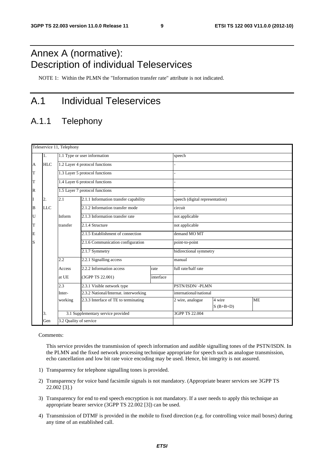## Annex A (normative): Description of individual Teleservices

NOTE 1: Within the PLMN the "Information transfer rate" attribute is not indicated.

## A.1 Individual Teleservices

### A.1.1 Telephony

|              | Teleservice 11, Telephony |                        |                                       |           |                                 |                        |           |  |
|--------------|---------------------------|------------------------|---------------------------------------|-----------|---------------------------------|------------------------|-----------|--|
|              | 1.                        |                        | 1.1 Type or user information          |           | speech                          |                        |           |  |
| A            | <b>HLC</b>                |                        | 1.2 Layer 4 protocol functions        |           |                                 |                        |           |  |
| T            |                           |                        | 1.3 Layer 5 protocol functions        |           |                                 |                        |           |  |
| T            |                           |                        | 1.4 Layer 6 protocol functions        |           |                                 |                        |           |  |
| $\mathbb{R}$ |                           |                        | 1.5 Layer 7 protocol functions        |           |                                 |                        |           |  |
| I            | 2.                        | 2.1                    | 2.1.1 Information transfer capability |           | speech (digital representation) |                        |           |  |
| B            | <b>LLC</b>                |                        | 2.1.2 Information transfer mode       |           | circuit                         |                        |           |  |
| U            |                           | Inform                 | 2.1.3 Information transfer rate       |           | not applicable                  |                        |           |  |
| T            |                           | transfer               | 2.1.4 Structure                       |           | not applicable                  |                        |           |  |
| E            |                           |                        | 2.1.5 Establishment of connection     |           | demand MO MT                    |                        |           |  |
| S            |                           |                        | 2.1.6 Communication configuration     |           | point-to-point                  |                        |           |  |
|              |                           |                        | 2.1.7 Symmetry                        |           | bidirectional symmetry          |                        |           |  |
|              |                           | 2.2                    | 2.2.1 Signalling access               |           | manual                          |                        |           |  |
|              |                           | Access                 | 2.2.2 Information access              | rate      | full rate/half rate             |                        |           |  |
|              |                           | at UE                  | (3GPP TS 22.001)                      | interface |                                 |                        |           |  |
|              |                           | 2.3                    | 2.3.1 Visible network type            |           | PSTN/ISDN/-PLMN                 |                        |           |  |
|              |                           | Inter-                 | 2.3.2 National/Internat. interworking |           |                                 | international/national |           |  |
|              |                           | working                | 2.3.3 Interface of TE to terminating  |           | 2 wire, analogue                | 4 wire<br>$S$ (B+B+D)  | <b>ME</b> |  |
|              | 3.                        |                        | 3.1 Supplementary service provided    |           | 3GPP TS 22.004                  |                        |           |  |
|              | Gen                       | 3.2 Quality of service |                                       |           |                                 |                        |           |  |

Comments:

 This service provides the transmission of speech information and audible signalling tones of the PSTN/ISDN. In the PLMN and the fixed network processing technique appropriate for speech such as analogue transmission, echo cancellation and low bit rate voice encoding may be used. Hence, bit integrity is not assured.

- 1) Transparency for telephone signalling tones is provided.
- 2) Transparency for voice band facsimile signals is not mandatory. (Appropriate bearer services see 3GPP TS 22.002 [3].)
- 3) Transparency for end to end speech encryption is not mandatory. If a user needs to apply this technique an appropriate bearer service (3GPP TS 22.002 [3]) can be used.
- 4) Transmission of DTMF is provided in the mobile to fixed direction (e.g. for controlling voice mail boxes) during any time of an established call.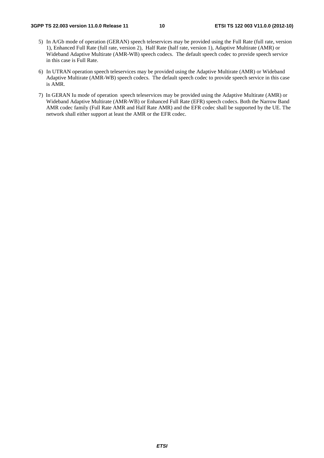- 5) In A/Gb mode of operation (GERAN) speech teleservices may be provided using the Full Rate (full rate, version 1), Enhanced Full Rate (full rate, version 2), Half Rate (half rate, version 1), Adaptive Multirate (AMR) or Wideband Adaptive Multirate (AMR-WB) speech codecs. The default speech codec to provide speech service in this case is Full Rate.
- 6) In UTRAN operation speech teleservices may be provided using the Adaptive Multirate (AMR) or Wideband Adaptive Multirate (AMR-WB) speech codecs. The default speech codec to provide speech service in this case is AMR.
- 7) In GERAN Iu mode of operation speech teleservices may be provided using the Adaptive Multirate (AMR) or Wideband Adaptive Multirate (AMR-WB) or Enhanced Full Rate (EFR) speech codecs. Both the Narrow Band AMR codec family (Full Rate AMR and Half Rate AMR) and the EFR codec shall be supported by the UE. The network shall either support at least the AMR or the EFR codec.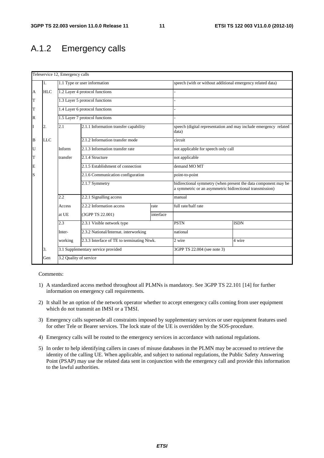### A.1.2 Emergency calls

|              |            | Teleservice 12, Emergency calls |                                            |           |                                                                                                                            |                                                                  |  |
|--------------|------------|---------------------------------|--------------------------------------------|-----------|----------------------------------------------------------------------------------------------------------------------------|------------------------------------------------------------------|--|
|              | 1.         |                                 | 1.1 Type or user information               |           | speech (with or without additional emergency related data)                                                                 |                                                                  |  |
| A            | <b>HLC</b> |                                 | 1.2 Layer 4 protocol functions             |           |                                                                                                                            |                                                                  |  |
| T            |            |                                 | 1.3 Layer 5 protocol functions             |           |                                                                                                                            |                                                                  |  |
| T            |            |                                 | 1.4 Layer 6 protocol functions             |           |                                                                                                                            |                                                                  |  |
| $\mathbb{R}$ |            |                                 | 1.5 Layer 7 protocol functions             |           |                                                                                                                            |                                                                  |  |
| T            | 2.         | 2.1                             | 2.1.1 Information transfer capability      |           | data)                                                                                                                      | speech (digital representation and may include emergency related |  |
| B            | <b>LLC</b> |                                 | 2.1.2 Information transfer mode            |           | circuit                                                                                                                    |                                                                  |  |
| U            |            | Inform                          | 2.1.3 Information transfer rate            |           | not applicable for speech only call                                                                                        |                                                                  |  |
| T            |            | transfer                        | 2.1.4 Structure                            |           | not applicable                                                                                                             |                                                                  |  |
| E            |            |                                 | 2.1.5 Establishment of connection          |           | demand MO MT                                                                                                               |                                                                  |  |
| S            |            |                                 | 2.1.6 Communication configuration          |           | point-to-point                                                                                                             |                                                                  |  |
|              |            |                                 | 2.1.7 Symmetry                             |           | bidirectional symmetry (when present the data component may be<br>a symmetric or an asymmetric bidirectional transmission) |                                                                  |  |
|              |            | 2.2                             | 2.2.1 Signalling access                    |           | manual                                                                                                                     |                                                                  |  |
|              |            | Access                          | 2.2.2 Information access                   | rate      | full rate/half rate                                                                                                        |                                                                  |  |
|              |            | at UE                           | (3GPP TS 22.001)                           | interface |                                                                                                                            |                                                                  |  |
|              |            | 2.3                             | 2.3.1 Visible network type                 |           | <b>PSTN</b>                                                                                                                | <b>ISDN</b>                                                      |  |
|              |            | Inter-                          | 2.3.2 National/Internat. interworking      |           | national                                                                                                                   |                                                                  |  |
|              |            | working                         | 2.3.3 Interface of TE to terminating Ntwk. |           | 2 wire<br>4 wire                                                                                                           |                                                                  |  |
|              | 3.         |                                 | 3.1 Supplementary service provided         |           | 3GPP TS 22.004 (see note 3)                                                                                                |                                                                  |  |
|              | Gen        | 3.2 Quality of service          |                                            |           |                                                                                                                            |                                                                  |  |

- 1) A standardized access method throughout all PLMNs is mandatory. See 3GPP TS 22.101 [14] for further information on emergency call requirements.
- 2) It shall be an option of the network operator whether to accept emergency calls coming from user equipment which do not transmit an IMSI or a TMSI.
- 3) Emergency calls supersede all constraints imposed by supplementary services or user equipment features used for other Tele or Bearer services. The lock state of the UE is overridden by the SOS-procedure.
- 4) Emergency calls will be routed to the emergency services in accordance with national regulations.
- 5) In order to help identifying callers in cases of misuse databases in the PLMN may be accessed to retrieve the identity of the calling UE. When applicable, and subject to national regulations, the Public Safety Answering Point (PSAP) may use the related data sent in conjunction with the emergency call and provide this information to the lawful authorities.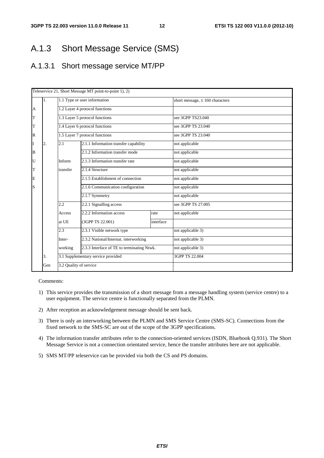### A.1.3 Short Message Service (SMS)

### A.1.3.1 Short message service MT/PP

|   |                                          |                                                       | Teleservice 21, Short Message MT point-to-point 1), 2)                 |                                      |                                  |  |
|---|------------------------------------------|-------------------------------------------------------|------------------------------------------------------------------------|--------------------------------------|----------------------------------|--|
|   | 1.                                       |                                                       | 1.1 Type or user information                                           | short message, $\leq 160$ characters |                                  |  |
| A |                                          |                                                       | 1.2 Layer 4 protocol functions                                         |                                      |                                  |  |
| T |                                          |                                                       | 1.3 Layer 5 protocol functions                                         |                                      | see 3GPP TS23.040                |  |
| T |                                          |                                                       | 1.4 Layer 6 protocol functions                                         |                                      | see 3GPP TS 23.040               |  |
| R |                                          |                                                       | 1.5 Layer 7 protocol functions                                         |                                      | see 3GPP TS 23.040               |  |
|   | 2.                                       | 2.1                                                   | 2.1.1 Information transfer capability                                  |                                      | not applicable                   |  |
| B |                                          |                                                       | 2.1.2 Information transfer mode                                        |                                      | not applicable                   |  |
| U |                                          | Inform                                                | 2.1.3 Information transfer rate                                        |                                      | not applicable<br>not applicable |  |
| T |                                          | transfer                                              | 2.1.4 Structure                                                        |                                      |                                  |  |
| E |                                          |                                                       | 2.1.5 Establishment of connection<br>2.1.6 Communication configuration |                                      | not applicable                   |  |
| S |                                          |                                                       |                                                                        |                                      | not applicable                   |  |
|   |                                          |                                                       | 2.1.7 Symmetry                                                         |                                      | not applicable                   |  |
|   |                                          | 2.2                                                   | 2.2.1 Signalling access                                                |                                      | see 3GPP TS 27,005               |  |
|   |                                          | Access                                                | 2.2.2 Information access                                               | rate                                 | not applicable                   |  |
|   |                                          | at UE                                                 | (3GPP TS 22.001)                                                       | interface                            |                                  |  |
|   |                                          | 2.3                                                   | 2.3.1 Visible network type                                             |                                      | not applicable 3)                |  |
|   |                                          | Inter-                                                | 2.3.2 National/Internat. interworking                                  |                                      | not applicable 3)                |  |
|   |                                          | 2.3.3 Interface of TE to terminating Ntwk.<br>working |                                                                        | not applicable 3)                    |                                  |  |
|   | 3.1 Supplementary service provided<br>3. |                                                       | 3GPP TS 22.004                                                         |                                      |                                  |  |
|   | Gen                                      | 3.2 Quality of service                                |                                                                        |                                      |                                  |  |

- 1) This service provides the transmission of a short message from a message handling system (service centre) to a user equipment. The service centre is functionally separated from the PLMN.
- 2) After reception an acknowledgement message should be sent back.
- 3) There is only an interworking between the PLMN and SMS Service Centre (SMS-SC). Connections from the fixed network to the SMS-SC are out of the scope of the 3GPP specifications.
- 4) The information transfer attributes refer to the connection-oriented services (ISDN, Bluebook Q.931). The Short Message Service is not a connection orientated service, hence the transfer attributes here are not applicable.
- 5) SMS MT/PP teleservice can be provided via both the CS and PS domains.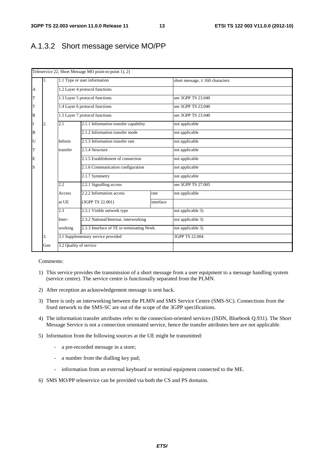### A.1.3.2 Short message service MO/PP

|                |     |                        | Teleservice 22, Short Message MO point-to-point 1), 2)                              |                                      |                    |  |  |
|----------------|-----|------------------------|-------------------------------------------------------------------------------------|--------------------------------------|--------------------|--|--|
|                | 1.  |                        | 1.1 Type or user information                                                        | short message, $\leq 160$ characters |                    |  |  |
| $\overline{A}$ |     |                        | 1.2 Layer 4 protocol functions                                                      |                                      |                    |  |  |
| T              |     |                        | 1.3 Layer 5 protocol functions                                                      |                                      | see 3GPP TS 23.040 |  |  |
| T              |     |                        | 1.4 Layer 6 protocol functions                                                      |                                      | see 3GPP TS 23.040 |  |  |
| $\mathbb R$    |     |                        | 1.5 Layer 7 protocol functions                                                      |                                      | see 3GPP TS 23.040 |  |  |
| I              | 2.  | 2.1                    | 2.1.1 Information transfer capability                                               |                                      | not applicable     |  |  |
| $\bf{B}$       |     |                        | 2.1.2 Information transfer mode                                                     |                                      | not applicable     |  |  |
| U              |     | Inform                 | 2.1.3 Information transfer rate                                                     |                                      | not applicable     |  |  |
| T              |     | transfer               | $2.1.4$ Structure                                                                   |                                      | not applicable     |  |  |
| E              |     |                        | 2.1.5 Establishment of connection                                                   |                                      | not applicable     |  |  |
| S              |     |                        | 2.1.6 Communication configuration                                                   |                                      | not applicable     |  |  |
|                |     |                        | 2.1.7 Symmetry                                                                      |                                      | not applicable     |  |  |
|                |     | 2.2                    | 2.2.1 Signalling access                                                             |                                      | see 3GPP TS 27,005 |  |  |
|                |     | Access                 | 2.2.2 Information access                                                            | rate                                 | not applicable     |  |  |
|                |     | at UE                  | (3GPP TS 22.001)                                                                    | interface                            |                    |  |  |
|                |     | 2.3                    | 2.3.1 Visible network type                                                          |                                      | not applicable 3)  |  |  |
|                |     | Inter-                 | 2.3.2 National/Internat. interworking<br>2.3.3 Interface of TE to terminating Ntwk. |                                      | not applicable 3)  |  |  |
|                |     | working                |                                                                                     |                                      | not applicable 3)  |  |  |
|                | 3.  |                        | 3.1 Supplementary service provided                                                  |                                      | 3GPP TS 22.004     |  |  |
|                | Gen | 3.2 Quality of service |                                                                                     |                                      |                    |  |  |

- 1) This service provides the transmission of a short message from a user equipment to a message handling system (service centre). The service centre is functionally separated from the PLMN.
- 2) After reception an acknowledgement message is sent back.
- 3) There is only an interworking between the PLMN and SMS Service Centre (SMS-SC). Connections from the fixed network to the SMS-SC are out of the scope of the 3GPP specifications.
- 4) The information transfer attributes refer to the connection-oriented services (ISDN, Bluebook Q.931). The Short Message Service is not a connection orientated service, hence the transfer attributes here are not applicable.
- 5) Information from the following sources at the UE might be transmitted:
	- a pre-recorded message in a store;
	- a number from the dialling key pad;
	- information from an external keyboard or terminal equipment connected to the ME.
- 6) SMS MO/PP teleservice can be provided via both the CS and PS domains.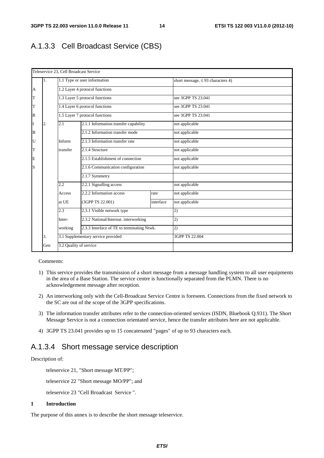### A.1.3.3 Cell Broadcast Service (CBS)

|                |     | Teleservice 23, Cell Broadcast Service |                                            |                                        |                    |  |
|----------------|-----|----------------------------------------|--------------------------------------------|----------------------------------------|--------------------|--|
|                | 1.  |                                        | 1.1 Type or user information               | short message, $\leq$ 93 characters 4) |                    |  |
| $\overline{A}$ |     |                                        | 1.2 Layer 4 protocol functions             |                                        |                    |  |
| T              |     |                                        | 1.3 Layer 5 protocol functions             |                                        | see 3GPP TS 23.041 |  |
| T              |     |                                        | 1.4 Layer 6 protocol functions             |                                        | see 3GPP TS 23.041 |  |
| $\mathbb R$    |     |                                        | 1.5 Layer 7 protocol functions             |                                        | see 3GPP TS 23.041 |  |
| I              | 2.  | 2.1                                    | 2.1.1 Information transfer capability      |                                        | not applicable     |  |
| B              |     |                                        | 2.1.2 Information transfer mode            |                                        | not applicable     |  |
| U              |     | Inform                                 | 2.1.3 Information transfer rate            |                                        | not applicable     |  |
| T              |     | transfer                               | $2.1.4$ Structure                          |                                        | not applicable     |  |
| E              |     |                                        | 2.1.5 Establishment of connection          |                                        | not applicable     |  |
| S              |     |                                        | 2.1.6 Communication configuration          |                                        | not applicable     |  |
|                |     |                                        | 2.1.7 Symmetry                             |                                        |                    |  |
|                |     | 2.2                                    | 2.2.1 Signalling access                    |                                        | not applicable     |  |
|                |     | Access                                 | 2.2.2 Information access                   | rate                                   | not applicable     |  |
|                |     | at UE                                  | (3GPP TS 22.001)                           | interface                              | not applicable     |  |
|                |     | 2.3                                    | 2.3.1 Visible network type                 |                                        | 2)                 |  |
|                |     | Inter-                                 | 2.3.2 National/Internat. interworking      |                                        | 2)                 |  |
|                |     | working                                | 2.3.3 Interface of TE to terminating Ntwk. |                                        | 2)                 |  |
|                | 3.  |                                        | 3.1 Supplementary service provided         |                                        | 3GPP TS 22.004     |  |
|                | Gen | 3.2 Quality of service                 |                                            |                                        |                    |  |

### Comments:

- 1) This service provides the transmission of a short message from a message handling system to all user equipments in the area of a Base Station. The service centre is functionally separated from the PLMN. There is no acknowledgement message after reception.
- 2) An interworking only with the Cell-Broadcast Service Centre is foreseen. Connections from the fixed network to the SC are out of the scope of the 3GPP specifications.
- 3) The information transfer attributes refer to the connection-oriented services (ISDN, Bluebook Q.931). The Short Message Service is not a connection orientated service, hence the transfer attributes here are not applicable.
- 4) 3GPP TS 23.041 provides up to 15 concatenated "pages" of up to 93 characters each.

### A.1.3.4 Short message service description

### Description of:

teleservice 21, "Short message MT/PP";

teleservice 22 "Short message MO/PP"; and

teleservice 23 "Cell Broadcast Service ".

### **1 Introduction**

The purpose of this annex is to describe the short message teleservice.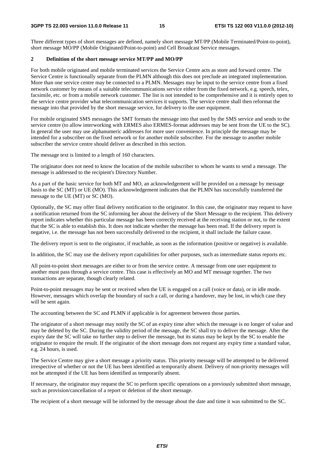Three different types of short messages are defined, namely short message MT/PP (Mobile Terminated/Point-to-point), short message MO/PP (Mobile Originated/Point-to-point) and Cell Broadcast Service messages.

### **2 Definition of the short message service MT/PP and MO/PP**

For both mobile originated and mobile terminated services the Service Centre acts as store and forward centre. The Service Centre is functionally separate from the PLMN although this does not preclude an integrated implementation. More than one service centre may be connected to a PLMN. Messages may be input to the service centre from a fixed network customer by means of a suitable telecommunications service either from the fixed network, e.g. speech, telex, facsimile, etc. or from a mobile network customer. The list is not intended to be comprehensive and it is entirely open to the service centre provider what telecommunication services it supports. The service centre shall then reformat the message into that provided by the short message service, for delivery to the user equipment.

For mobile originated SMS messages the SMT formats the message into that used by the SMS service and sends to the service centre (to allow interworking with ERMES also ERMES-format addresses may be sent from the UE to the SC). In general the user may use alphanumeric addresses for more user convenience. In principle the message may be intended for a subscriber on the fixed network or for another mobile subscriber. For the message to another mobile subscriber the service centre should deliver as described in this section.

The message text is limited to a length of 160 characters.

The originator does not need to know the location of the mobile subscriber to whom he wants to send a message. The message is addressed to the recipient's Directory Number.

As a part of the basic service for both MT and MO, an acknowledgement will be provided on a message by message basis to the SC (MT) or UE (MO). This acknowledgement indicates that the PLMN has successfully transferred the message to the UE (MT) or SC (MO).

Optionally, the SC may offer final delivery notification to the originator. In this case, the originator may request to have a notification returned from the SC informing her about the delivery of the Short Message to the recipient. This delivery report indicates whether this particular message has been correctly received at the receiving station or not, to the extent that the SC is able to establish this. It does not indicate whether the message has been read. If the delivery report is negative, i.e. the message has not been successfully delivered to the recipient, it shall include the failure cause.

The delivery report is sent to the originator, if reachable, as soon as the information (positive or negative) is available.

In addition, the SC may use the delivery report capabilities for other purposes, such as intermediate status reports etc.

All point-to-point short messages are either to or from the service centre. A message from one user equipment to another must pass through a service centre. This case is effectively an MO and MT message together. The two transactions are separate, though clearly related.

Point-to-point messages may be sent or received when the UE is engaged on a call (voice or data), or in idle mode. However, messages which overlap the boundary of such a call, or during a handover, may be lost, in which case they will be sent again.

The accounting between the SC and PLMN if applicable is for agreement between those parties.

The originator of a short message may notify the SC of an expiry time after which the message is no longer of value and may be deleted by the SC. During the validity period of the message, the SC shall try to deliver the message. After the expiry date the SC will take no further step to deliver the message, but its status may be kept by the SC to enable the originator to enquire the result. If the originator of the short message does not request any expiry time a standard value, e.g. 24 hours, is used.

The Service Centre may give a short message a priority status. This priority message will be attempted to be delivered irrespective of whether or not the UE has been identified as temporarily absent. Delivery of non-priority messages will not be attempted if the UE has been identified as temporarily absent.

If necessary, the originator may request the SC to perform specific operations on a previously submitted short message, such as provision/cancellation of a report or deletion of the short message.

The recipient of a short message will be informed by the message about the date and time it was submitted to the SC.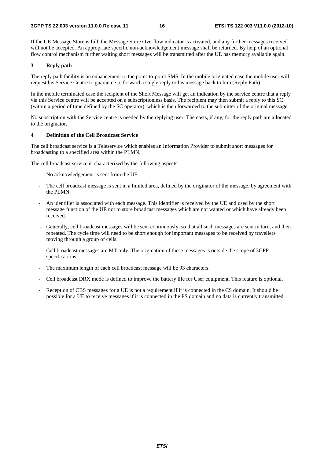If the UE Message Store is full, the Message Store Overflow indicator is activated, and any further messages received will not be accepted. An appropriate specific non-acknowledgement message shall be returned. By help of an optional flow control mechanism further waiting short messages will be transmitted after the UE has memory available again.

### **3 Reply path**

The reply path facility is an enhancement to the point-to-point SMS. In the mobile originated case the mobile user will request his Service Centre to guarantee to forward a single reply to his message back to him (Reply Path).

In the mobile terminated case the recipient of the Short Message will get an indication by the service centre that a reply via this Service centre will be accepted on a subscriptionless basis. The recipient may then submit a reply to this SC (within a period of time defined by the SC operator), which is then forwarded to the submitter of the original message.

No subscription with the Service centre is needed by the replying user. The costs, if any, for the reply path are allocated to the originator.

### **4 Definition of the Cell Broadcast Service**

The cell broadcast service is a Teleservice which enables an Information Provider to submit short messages for broadcasting to a specified area within the PLMN.

The cell broadcast service is characterized by the following aspects:

- No acknowledgement is sent from the UE.
- The cell broadcast message is sent in a limited area, defined by the originator of the message, by agreement with the PLMN.
- An identifier is associated with each message. This identifier is received by the UE and used by the short message function of the UE not to store broadcast messages which are not wanted or which have already been received.
- Generally, cell broadcast messages will be sent continuously, so that all such messages are sent in turn, and then repeated. The cycle time will need to be short enough for important messages to be received by travellers moving through a group of cells.
- Cell broadcast messages are MT only. The origination of these messages is outside the scope of 3GPP specifications.
- The maximum length of each cell broadcast message will be 93 characters.
- Cell broadcast DRX mode is defined to improve the battery life for User equipment. This feature is optional.
- Reception of CBS messages for a UE is not a requirement if it is connected in the CS domain. It should be possible for a UE to receive messages if it is connected in the PS domain and no data is currently transmitted.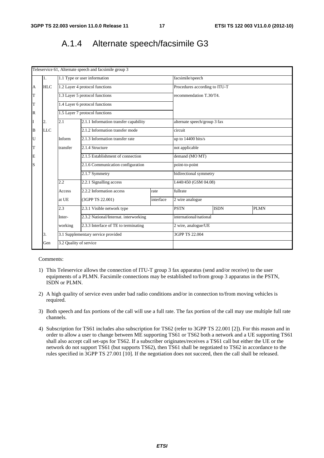### A.1.4 Alternate speech/facsimile G3

|             |            |                        | Teleservice 61, Alternate speech and facsimile group 3 |           |                               |             |             |  |
|-------------|------------|------------------------|--------------------------------------------------------|-----------|-------------------------------|-------------|-------------|--|
|             | 1.         |                        | 1.1 Type or user information                           |           | facsimile/speech              |             |             |  |
| A           | <b>HLC</b> |                        | 1.2 Layer 4 protocol functions                         |           | Procedures according to ITU-T |             |             |  |
| T           |            |                        | 1.3 Layer 5 protocol functions                         |           | recommendation T.30/T4.       |             |             |  |
| T           |            |                        | 1.4 Layer 6 protocol functions                         |           |                               |             |             |  |
| $\mathbb R$ |            |                        | 1.5 Layer 7 protocol functions                         |           |                               |             |             |  |
| I           | 2.         | 2.1                    | 2.1.1 Information transfer capability                  |           | alternate speech/group 3 fax  |             |             |  |
| B           | <b>LLC</b> |                        | 2.1.2 Information transfer mode                        |           | circuit                       |             |             |  |
| U           |            | Inform                 | 2.1.3 Information transfer rate                        |           | up to $14400$ bits/s          |             |             |  |
| T           |            | transfer               | 2.1.4 Structure                                        |           | not applicable                |             |             |  |
| E           |            |                        | 2.1.5 Establishment of connection                      |           | demand (MO MT)                |             |             |  |
| S           |            |                        | 2.1.6 Communication configuration                      |           | point-to-point                |             |             |  |
|             |            |                        | 2.1.7 Symmetry                                         |           | bidirectional symmetry        |             |             |  |
|             |            | 2.2                    | 2.2.1 Signalling access                                |           | I.440/450 (GSM 04.08)         |             |             |  |
|             |            | Access                 | 2.2.2 Information access                               | rate      | fullrate                      |             |             |  |
|             |            | at UE                  | (3GPP TS 22.001)                                       | interface | 2 wire analogue               |             |             |  |
|             |            | 2.3                    | 2.3.1 Visible network type                             |           | <b>PSTN</b>                   | <b>ISDN</b> | <b>PLMN</b> |  |
|             |            | Inter-                 | 2.3.2 National/Internat. interworking                  |           | international/national        |             |             |  |
|             |            | working                | 2.3.3 Interface of TE to terminating                   |           | 2 wire, analogue/UE           |             |             |  |
|             | 3.         |                        | 3.1 Supplementary service provided                     |           | 3GPP TS 22.004                |             |             |  |
|             | Gen        | 3.2 Quality of service |                                                        |           |                               |             |             |  |

- 1) This Teleservice allows the connection of ITU-T group 3 fax apparatus (send and/or receive) to the user equipments of a PLMN. Facsimile connections may be established to/from group 3 apparatus in the PSTN, ISDN or PLMN.
- 2) A high quality of service even under bad radio conditions and/or in connection to/from moving vehicles is required.
- 3) Both speech and fax portions of the call will use a full rate. The fax portion of the call may use multiple full rate channels.
- 4) Subscription for TS61 includes also subscription for TS62 (refer to 3GPP TS 22.001 [2]). For this reason and in order to allow a user to change between ME supporting TS61 or TS62 both a network and a UE supporting TS61 shall also accept call set-ups for TS62. If a subscriber originates/receives a TS61 call but either the UE or the network do not support TS61 (but supports TS62), then TS61 shall be negotiated to TS62 in accordance to the rules specified in 3GPP TS 27.001 [10]. If the negotiation does not succeed, then the call shall be released.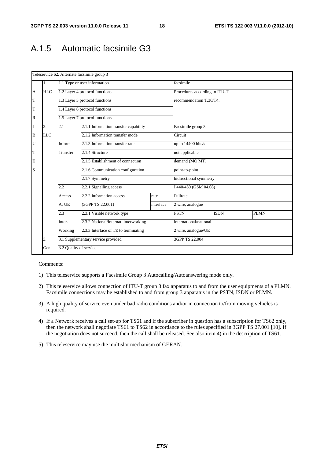## A.1.5 Automatic facsimile G3

|             |            |                        | Teleservice 62, Alternate facsimile group 3 |           |                               |                |             |  |
|-------------|------------|------------------------|---------------------------------------------|-----------|-------------------------------|----------------|-------------|--|
|             | 1.         |                        | 1.1 Type or user information                |           | facsimile                     |                |             |  |
| A           | <b>HLC</b> |                        | 1.2 Layer 4 protocol functions              |           | Procedures according to ITU-T |                |             |  |
| $\mathbf T$ |            |                        | 1.3 Layer 5 protocol functions              |           | recommendation T.30/T4.       |                |             |  |
| T           |            |                        | 1.4 Layer 6 protocol functions              |           |                               |                |             |  |
| $\mathbb R$ |            |                        | 1.5 Layer 7 protocol functions              |           |                               |                |             |  |
| I           | 2.         | 2.1                    | 2.1.1 Information transfer capability       |           | Facsimile group 3             |                |             |  |
| B           | <b>LLC</b> |                        | 2.1.2 Information transfer mode             |           | Circuit                       |                |             |  |
| U           |            | Inform                 | 2.1.3 Information transfer rate             |           | up to 14400 bits/s            |                |             |  |
| $\mathbf T$ |            | Transfer               | 2.1.4 Structure                             |           | not applicable                |                |             |  |
| E           |            |                        | 2.1.5 Establishment of connection           |           | demand (MO MT)                |                |             |  |
| S           |            |                        | 2.1.6 Communication configuration           |           | point-to-point                |                |             |  |
|             |            |                        | 2.1.7 Symmetry                              |           | bidirectional symmetry        |                |             |  |
|             |            | 2.2                    | 2.2.1 Signalling access                     |           | I.440/450 (GSM 04.08)         |                |             |  |
|             |            | Access                 | 2.2.2 Information access                    | rate      | Fullrate                      |                |             |  |
|             |            | At UE                  | (3GPP TS 22.001)                            | interface | 2 wire, analogue              |                |             |  |
|             |            | 2.3                    | 2.3.1 Visible network type                  |           | <b>PSTN</b>                   | <b>ISDN</b>    | <b>PLMN</b> |  |
|             |            | Inter-                 | 2.3.2 National/Internat. interworking       |           | international/national        |                |             |  |
|             |            | Working                | 2.3.3 Interface of TE to terminating        |           | 2 wire, analogue/UE           |                |             |  |
|             | 3.         |                        | 3.1 Supplementary service provided          |           |                               | 3GPP TS 22.004 |             |  |
|             | Gen        | 3.2 Quality of service |                                             |           |                               |                |             |  |

- 1) This teleservice supports a Facsimile Group 3 Autocalling/Autoanswering mode only.
- 2) This teleservice allows connection of ITU-T group 3 fax apparatus to and from the user equipments of a PLMN. Facsimile connections may be established to and from group 3 apparatus in the PSTN, ISDN or PLMN.
- 3) A high quality of service even under bad radio conditions and/or in connection to/from moving vehicles is required.
- 4) If a Network receives a call set-up for TS61 and if the subscriber in question has a subscription for TS62 only, then the network shall negotiate TS61 to TS62 in accordance to the rules specified in 3GPP TS 27.001 [10]. If the negotiation does not succeed, then the call shall be released. See also item 4) in the description of TS61.
- 5) This teleservice may use the multislot mechanism of GERAN.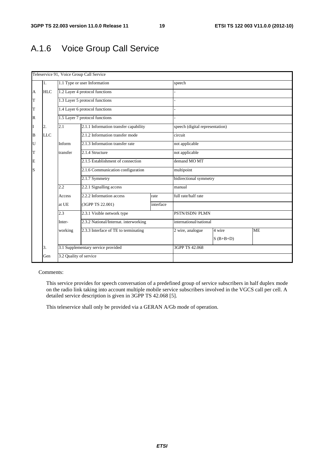## A.1.6 Voice Group Call Service

|              |            |                        | Teleservice 91, Voice Group Call Service |           |                                 |        |           |  |
|--------------|------------|------------------------|------------------------------------------|-----------|---------------------------------|--------|-----------|--|
|              | 1.         |                        | 1.1 Type or user Information             |           | speech                          |        |           |  |
| A            | HLC        |                        | 1.2 Layer 4 protocol functions           |           |                                 |        |           |  |
| T            |            |                        | 1.3 Layer 5 protocol functions           |           |                                 |        |           |  |
| T            |            |                        | 1.4 Layer 6 protocol functions           |           |                                 |        |           |  |
| $\mathbb{R}$ |            |                        | 1.5 Layer 7 protocol functions           |           |                                 |        |           |  |
| I            | 2.         | 2.1                    | 2.1.1 Information transfer capability    |           | speech (digital representation) |        |           |  |
| B            | <b>LLC</b> |                        | 2.1.2 Information transfer mode          |           | circuit                         |        |           |  |
| U            |            | Inform                 | 2.1.3 Information transfer rate          |           | not applicable                  |        |           |  |
| T            |            | transfer               | 2.1.4 Structure                          |           | not applicable                  |        |           |  |
| E            |            |                        | 2.1.5 Establishment of connection        |           | demand MO MT                    |        |           |  |
| S            |            |                        | 2.1.6 Communication configuration        |           | multipoint                      |        |           |  |
|              |            |                        | 2.1.7 Symmetry                           |           | bidirectional symmetry          |        |           |  |
|              |            | 2.2                    | 2.2.1 Signalling access                  |           | manual                          |        |           |  |
|              |            | Access                 | 2.2.2 Information access                 | rate      | full rate/half rate             |        |           |  |
|              |            | at UE                  | (3GPP TS 22.001)                         | interface |                                 |        |           |  |
|              |            | 2.3                    | 2.3.1 Visible network type               |           | PSTN/ISDN/ PLMN                 |        |           |  |
|              |            | Inter-                 | 2.3.2 National/Internat. interworking    |           | international/national          |        |           |  |
|              |            | working                | 2.3.3 Interface of TE to terminating     |           | 2 wire, analogue                | 4 wire | <b>ME</b> |  |
|              |            |                        |                                          |           | $S$ (B+B+D)                     |        |           |  |
|              | 3.         |                        | 3.1 Supplementary service provided       |           | 3GPP TS 42.068                  |        |           |  |
|              | Gen        | 3.2 Quality of service |                                          |           |                                 |        |           |  |

### Comments:

 This service provides for speech conversation of a predefined group of service subscribers in half duplex mode on the radio link taking into account multiple mobile service subscribers involved in the VGCS call per cell. A detailed service description is given in 3GPP TS 42.068 [5].

This teleservice shall only be provided via a GERAN A/Gb mode of operation.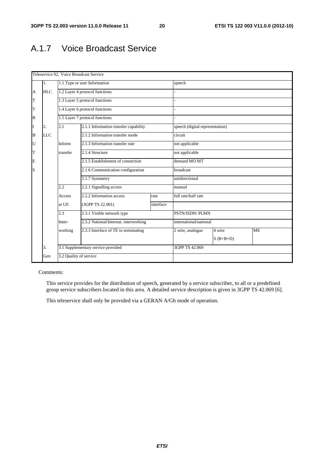## A.1.7 Voice Broadcast Service

|          | Teleservice 92, Voice Broadcast Service |                        |                                       |                |                                 |                 |           |  |  |  |
|----------|-----------------------------------------|------------------------|---------------------------------------|----------------|---------------------------------|-----------------|-----------|--|--|--|
|          | 1.                                      |                        | 1.1 Type or user Information          |                | speech                          |                 |           |  |  |  |
| A        | <b>HLC</b>                              |                        | 1.2 Layer 4 protocol functions        |                |                                 |                 |           |  |  |  |
| T        |                                         |                        | 1.3 Layer 5 protocol functions        |                |                                 |                 |           |  |  |  |
| T        |                                         |                        | 1.4 Layer 6 protocol functions        |                |                                 |                 |           |  |  |  |
| R        |                                         |                        | 1.5 Layer 7 protocol functions        |                |                                 |                 |           |  |  |  |
| I        | 2.                                      | 2.1                    | 2.1.1 Information transfer capability |                | speech (digital representation) |                 |           |  |  |  |
| $\bf{B}$ | <b>LLC</b>                              |                        | 2.1.2 Information transfer mode       |                | circuit                         |                 |           |  |  |  |
| U        |                                         | Inform                 | 2.1.3 Information transfer rate       |                | not applicable                  |                 |           |  |  |  |
| T        |                                         | transfer               | 2.1.4 Structure                       |                | not applicable                  |                 |           |  |  |  |
| E        |                                         |                        | 2.1.5 Establishment of connection     |                | demand MO MT                    |                 |           |  |  |  |
| S        |                                         |                        | 2.1.6 Communication configuration     |                | broadcast                       |                 |           |  |  |  |
|          |                                         |                        | 2.1.7 Symmetry                        |                |                                 | unidirectional  |           |  |  |  |
|          |                                         | 2.2                    | 2.2.1 Signalling access               |                | manual                          |                 |           |  |  |  |
|          |                                         | Access                 | 2.2.2 Information access              | rate           | full rate/half rate             |                 |           |  |  |  |
|          |                                         | at UE                  | (3GPP TS 22.001)                      | interface      |                                 |                 |           |  |  |  |
|          |                                         | 2.3                    | 2.3.1 Visible network type            |                |                                 | PSTN/ISDN/ PLMN |           |  |  |  |
|          |                                         | Inter-                 | 2.3.2 National/Internat. interworking |                | international/national          |                 |           |  |  |  |
|          |                                         | working                | 2.3.3 Interface of TE to terminating  |                | 2 wire, analogue                | 4 wire          | <b>ME</b> |  |  |  |
|          |                                         |                        |                                       |                |                                 | $S$ (B+B+D)     |           |  |  |  |
|          | 3.                                      |                        | 3.1 Supplementary service provided    | 3GPP TS 42.069 |                                 |                 |           |  |  |  |
|          | Gen                                     | 3.2 Quality of service |                                       |                |                                 |                 |           |  |  |  |

### Comments:

 This service provides for the distribution of speech, generated by a service subscriber, to all or a predefined group service subscribers located in this area. A detailed service description is given in 3GPP TS 42.069 [6].

This teleservice shall only be provided via a GERAN A/Gb mode of operation.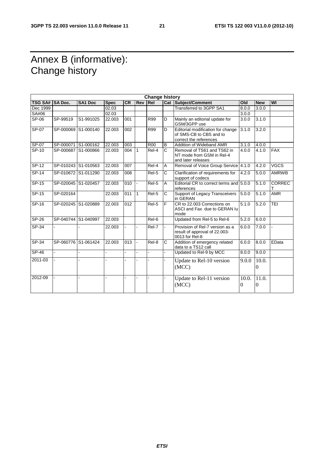## Annex B (informative): Change history

| <b>Change history</b> |                     |           |             |           |                |              |                       |                                                                                        |                       |                   |               |
|-----------------------|---------------------|-----------|-------------|-----------|----------------|--------------|-----------------------|----------------------------------------------------------------------------------------|-----------------------|-------------------|---------------|
| <b>TSG SA#</b>        | <b>SA Doc.</b>      | SA1 Doc   | <b>Spec</b> | <b>CR</b> | Rev            | Rel          |                       | Cat Subject/Comment                                                                    | Old                   | <b>New</b>        | WI            |
| Dec 1999              |                     |           | 02.03       |           |                |              |                       | <b>Transferred to 3GPP SA1</b>                                                         | 8.0.0                 | 3.0.0             |               |
| SA#06                 |                     |           | 02.03       |           |                |              |                       |                                                                                        | 3.0.0                 |                   |               |
| SP-06                 | SP-99519            | S1-991025 | 22.003      | 001       |                | <b>R99</b>   | D                     | Mainly an editorial update for<br>GSM/3GPP use                                         | 3.0.0                 | 3.1.0             |               |
| SP-07                 | SP-000069 S1-000140 |           | 22.003      | 002       |                | <b>R99</b>   | D                     | Editorial modification for change<br>of SMS-CB to CBS and to<br>correct the references | 3.1.0                 | 3.2.0             |               |
| SP-07                 | SP-000071 S1-000162 |           | 22.003      | 003       |                | <b>R00</b>   | B                     | Addition of Wideband AMR                                                               | 3.1.0                 | 4.0.0             |               |
| $SP-10$               | SP-000687 S1-000866 |           | 22.003      | 004       | $\mathbf{1}$   | $ReI-4$      | $\overline{C}$        | Removal of TS61 and TS62 in<br>NT mode from GSM in Rel-4<br>and later releases         | 4.0.0                 | 4.1.0             | <b>FAX</b>    |
| $SP-12$               | SP-010243 S1-010563 |           | 22.003      | 007       |                | Rel-4        | A                     | Removal of Voice Group Service 4.1.0                                                   |                       | 4.2.0             | <b>VGCS</b>   |
| $SP-14$               | SP-010672 S1-011290 |           | 22.003      | 008       |                | Rel-5        | C                     | Clarification of requirements for<br>support of codecs                                 | 4.2.0                 | 5.0.0             | <b>AMRWB</b>  |
| $SP-15$               | SP-020045 S1-020457 |           | 22.003      | 010       | $\blacksquare$ | $ReI-5$      | A                     | Editorial CR to correct terms and 5.0.0<br>references                                  |                       | 5.1.0             | <b>CORREC</b> |
| $SP-15$               | SP-020164           |           | 22.003      | 011       | $\overline{1}$ | $ReI-5$      | C                     | Support of Legacy Transceivers<br>in GERAN                                             | 5.0.0                 | 5.1.0             | <b>AMR</b>    |
| SP-16                 | SP-020245 S1-020889 |           | 22.003      | 012       |                | Rel-5        | F                     | CR to 22,003 Corrections on<br>ASCI and Fax due to GERAN lu<br>mode                    | 5.1.0                 | 5.2.0             | TEI           |
| <b>SP-26</b>          | SP-040744 S1-040997 |           | 22.003      |           |                | Rel-6        |                       | Updated from Rel-5 to Rel-6                                                            | 5.2.0                 | 6.0.0             |               |
| $SP-34$               |                     |           | 22.003      |           |                | Rel-7        |                       | Provision of Rel-7 version as a<br>result of approval of 22.003-<br>0013 for Rel-8     | 6.0.0                 | 7.0.0             |               |
| $SP-34$               | SP-060776 S1-061424 |           | 22.003      | 013       |                | Rel-8        | $\overline{\text{c}}$ | Addition of emergency related<br>data to a TS12 call                                   | 6.0.0                 | 8.0.0             | EData         |
| $SP-46$               |                     | ÷.        | L.          | L.        | $\mathbf{r}$   | $\mathbf{r}$ | ÷.                    | Updated to Rel-9 by MCC                                                                | 8.0.0                 | 9.0.0             |               |
| 2011-03               |                     |           |             |           |                |              |                       | Update to Rel-10 version<br>(MCC)                                                      | 9.0.0                 | 10.0.<br>$\Omega$ |               |
| 2012-09               |                     | ä,        | ÷.          |           |                |              |                       | Update to Rel-11 version<br>(MCC)                                                      | 10.0.<br>$\mathbf{0}$ | 11.0.<br>$\Omega$ |               |